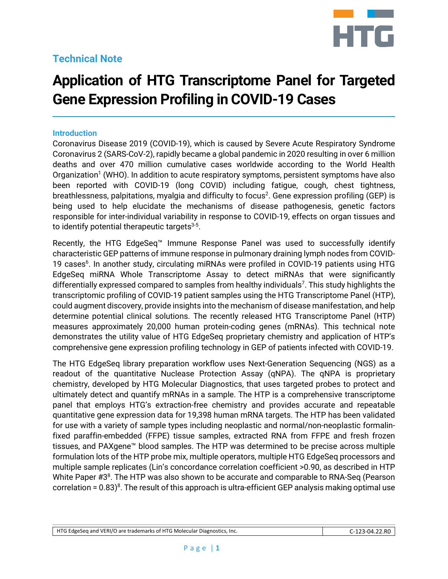# **Technical Note**



# **Application of HTG Transcriptome Panel for Targeted Gene Expression Profiling in COVID-19 Cases**

#### **Introduction**

Coronavirus Disease 2019 (COVID-19), which is caused by Severe Acute Respiratory Syndrome Coronavirus 2 (SARS-CoV-2), rapidly became a global pandemic in 2020 resulting in over 6 million deaths and over 470 million cumulative cases worldwide according to the World Health Organization<sup>1</sup> (WHO). In addition to acute respiratory symptoms, persistent symptoms have also been reported with COVID-19 (long COVID) including fatigue, cough, chest tightness, breathlessness, palpitations, myalgia and difficulty to focus<sup>2</sup>. Gene expression profiling (GEP) is being used to help elucidate the mechanisms of disease pathogenesis, genetic factors responsible for inter-individual variability in response to COVID-19, effects on organ tissues and to identify potential therapeutic targets $3-5$ .

Recently, the HTG EdgeSeq™ Immune Response Panel was used to successfully identify characteristic GEP patterns of immune response in pulmonary draining lymph nodes from COVID-19 cases<sup>6</sup>. In another study, circulating miRNAs were profiled in COVID-19 patients using HTG EdgeSeq miRNA Whole Transcriptome Assay to detect miRNAs that were significantly differentially expressed compared to samples from healthy individuals<sup>7</sup>. This study highlights the transcriptomic profiling of COVID-19 patient samples using the HTG Transcriptome Panel (HTP), could augment discovery, provide insights into the mechanism of disease manifestation, and help determine potential clinical solutions. The recently released HTG Transcriptome Panel (HTP) measures approximately 20,000 human protein-coding genes (mRNAs). This technical note demonstrates the utility value of HTG EdgeSeq proprietary chemistry and application of HTP's comprehensive gene expression profiling technology in GEP of patients infected with COVID-19.

The HTG EdgeSeq library preparation workflow uses Next-Generation Sequencing (NGS) as a readout of the quantitative Nuclease Protection Assay (qNPA). The qNPA is proprietary chemistry, developed by HTG Molecular Diagnostics, that uses targeted probes to protect and ultimately detect and quantify mRNAs in a sample. The HTP is a comprehensive transcriptome panel that employs HTG's extraction-free chemistry and provides accurate and repeatable quantitative gene expression data for 19,398 human mRNA targets. The HTP has been validated for use with a variety of sample types including neoplastic and normal/non-neoplastic formalinfixed paraffin-embedded (FFPE) tissue samples, extracted RNA from FFPE and fresh frozen tissues, and PAXgene™ blood samples. The HTP was determined to be precise across multiple formulation lots of the HTP probe mix, multiple operators, multiple HTG EdgeSeq processors and multiple sample replicates (Lin's concordance correlation coefficient >0.90, as described in HTP White Paper #3<sup>8</sup>. The HTP was also shown to be accurate and comparable to RNA-Seq (Pearson correlation =  $0.83$ <sup>8</sup>. The result of this approach is ultra-efficient GEP analysis making optimal use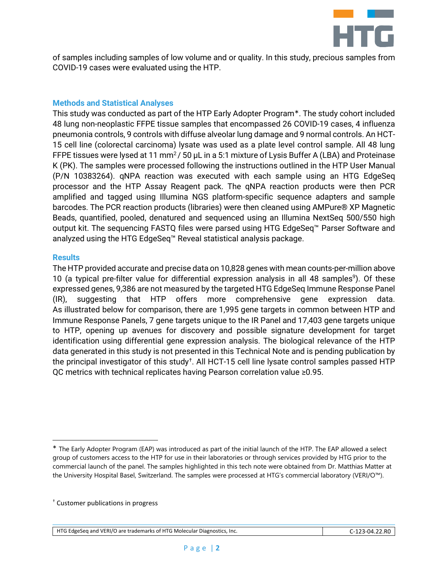

of samples including samples of low volume and or quality. In this study, precious samples from COVID-19 cases were evaluated using the HTP.

#### **Methods and Statistical Analyses**

This study was conducted as part of the HTP Early Adopter Program\*. The study cohort included 48 lung non-neoplastic FFPE tissue samples that encompassed 26 COVID-19 cases, 4 influenza pneumonia controls, 9 controls with diffuse alveolar lung damage and 9 normal controls. An HCT-15 cell line (colorectal carcinoma) lysate was used as a plate level control sample. All 48 lung FFPE tissues were lysed at 11 mm<sup>2</sup>/50 µL in a 5:1 mixture of Lysis Buffer A (LBA) and Proteinase K (PK). The samples were processed following the instructions outlined in the HTP User Manual (P/N 10383264). qNPA reaction was executed with each sample using an HTG EdgeSeq processor and the HTP Assay Reagent pack. The qNPA reaction products were then PCR amplified and tagged using Illumina NGS platform-specific sequence adapters and sample barcodes. The PCR reaction products (libraries) were then cleaned using AMPure® XP Magnetic Beads, quantified, pooled, denatured and sequenced using an Illumina NextSeq 500/550 high output kit. The sequencing FASTQ files were parsed using HTG EdgeSeq™ Parser Software and analyzed using the HTG EdgeSeq™ Reveal statistical analysis package.

#### **Results**

The HTP provided accurate and precise data on 10,828 genes with mean counts-per-million above 10 (a typical pre-filter value for differential expression analysis in all 48 samples<sup>9</sup>). Of these expressed genes, 9,386 are not measured by the targeted HTG EdgeSeq Immune Response Panel (IR), suggesting that HTP offers more comprehensive gene expression data. As illustrated below for comparison, there are 1,995 gene targets in common between HTP and Immune Response Panels, 7 gene targets unique to the IR Panel and 17,403 gene targets unique to HTP, opening up avenues for discovery and possible signature development for target identification using differential gene expression analysis. The biological relevance of the HTP data generated in this study is not presented in this Technical Note and is pending publication by the principal investigator of this study<sup>†</sup>. All HCT-15 cell line lysate control samples passed HTP QC metrics with technical replicates having Pearson correlation value ≥0.95.

<span id="page-1-0"></span>The Early Adopter Program (EAP) was introduced as part of the initial launch of the HTP. The EAP allowed a select group of customers access to the HTP for use in their laboratories or through services provided by HTG prior to the commercial launch of the panel. The samples highlighted in this tech note were obtained from Dr. Matthias Matter at the University Hospital Basel, Switzerland. The samples were processed at HTG's commercial laboratory (VERI/O™).

<span id="page-1-1"></span><sup>†</sup> Customer publications in progress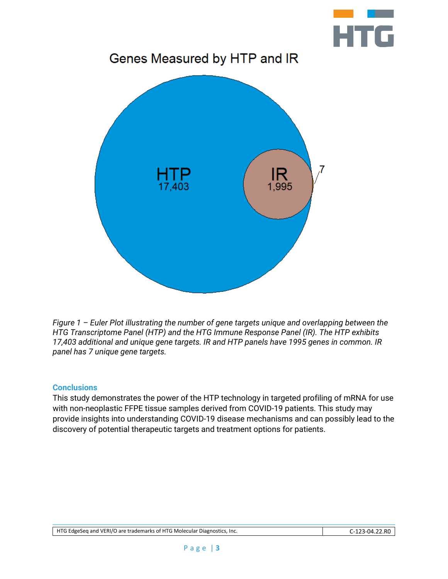

*Figure 1 – Euler Plot illustrating the number of gene targets unique and overlapping between the HTG Transcriptome Panel (HTP) and the HTG Immune Response Panel (IR). The HTP exhibits 17,403 additional and unique gene targets. IR and HTP panels have 1995 genes in common. IR panel has 7 unique gene targets.*

## **Conclusions**

This study demonstrates the power of the HTP technology in targeted profiling of mRNA for use with non-neoplastic FFPE tissue samples derived from COVID-19 patients. This study may provide insights into understanding COVID-19 disease mechanisms and can possibly lead to the discovery of potential therapeutic targets and treatment options for patients.